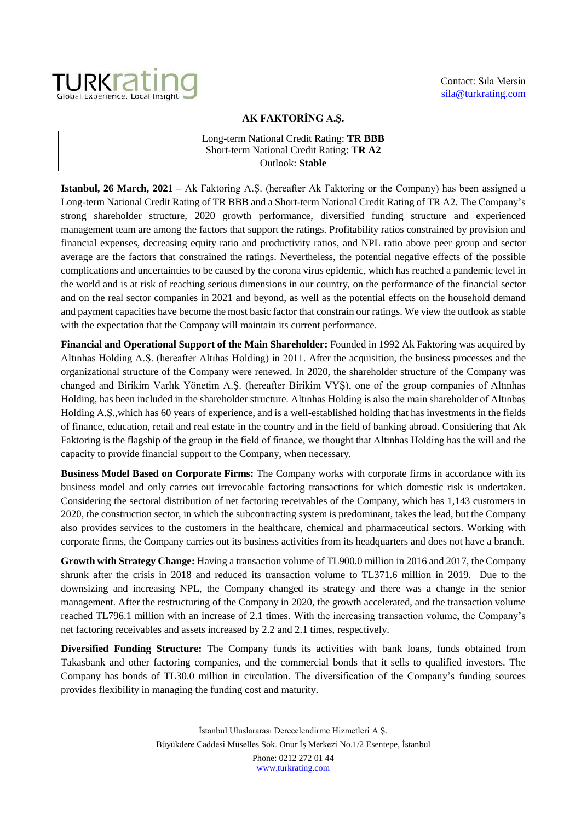

## **AK FAKTORİNG A.Ş.**

## Long-term National Credit Rating: **TR BBB** Short-term National Credit Rating: **TR A2** Outlook: **Stable**

**Istanbul, 26 March, 2021 –** Ak Faktoring A.Ş. (hereafter Ak Faktoring or the Company) has been assigned a Long-term National Credit Rating of TR BBB and a Short-term National Credit Rating of TR A2. The Company's strong shareholder structure, 2020 growth performance, diversified funding structure and experienced management team are among the factors that support the ratings. Profitability ratios constrained by provision and financial expenses, decreasing equity ratio and productivity ratios, and NPL ratio above peer group and sector average are the factors that constrained the ratings. Nevertheless, the potential negative effects of the possible complications and uncertainties to be caused by the corona virus epidemic, which has reached a pandemic level in the world and is at risk of reaching serious dimensions in our country, on the performance of the financial sector and on the real sector companies in 2021 and beyond, as well as the potential effects on the household demand and payment capacities have become the most basic factor that constrain our ratings. We view the outlook as stable with the expectation that the Company will maintain its current performance.

**Financial and Operational Support of the Main Shareholder:** Founded in 1992 Ak Faktoring was acquired by Altınhas Holding A.Ş. (hereafter Altıhas Holding) in 2011. After the acquisition, the business processes and the organizational structure of the Company were renewed. In 2020, the shareholder structure of the Company was changed and Birikim Varlık Yönetim A.Ş. (hereafter Birikim VYŞ), one of the group companies of Altınhas Holding, has been included in the shareholder structure. Altınhas Holding is also the main shareholder of Altınbaş Holding A.Ş.,which has 60 years of experience, and is a well-established holding that has investments in the fields of finance, education, retail and real estate in the country and in the field of banking abroad. Considering that Ak Faktoring is the flagship of the group in the field of finance, we thought that Altınhas Holding has the will and the capacity to provide financial support to the Company, when necessary.

**Business Model Based on Corporate Firms:** The Company works with corporate firms in accordance with its business model and only carries out irrevocable factoring transactions for which domestic risk is undertaken. Considering the sectoral distribution of net factoring receivables of the Company, which has 1,143 customers in 2020, the construction sector, in which the subcontracting system is predominant, takes the lead, but the Company also provides services to the customers in the healthcare, chemical and pharmaceutical sectors. Working with corporate firms, the Company carries out its business activities from its headquarters and does not have a branch.

**Growth with Strategy Change:** Having a transaction volume of TL900.0 million in 2016 and 2017, the Company shrunk after the crisis in 2018 and reduced its transaction volume to TL371.6 million in 2019. Due to the downsizing and increasing NPL, the Company changed its strategy and there was a change in the senior management. After the restructuring of the Company in 2020, the growth accelerated, and the transaction volume reached TL796.1 million with an increase of 2.1 times. With the increasing transaction volume, the Company's net factoring receivables and assets increased by 2.2 and 2.1 times, respectively.

**Diversified Funding Structure:** The Company funds its activities with bank loans, funds obtained from Takasbank and other factoring companies, and the commercial bonds that it sells to qualified investors. The Company has bonds of TL30.0 million in circulation. The diversification of the Company's funding sources provides flexibility in managing the funding cost and maturity.